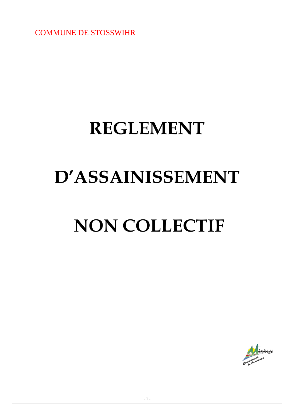COMMUNE DE STOSSWIHR

# **REGLEMENT**

# **D'ASSAINISSEMENT**

# **NON COLLECTIF**

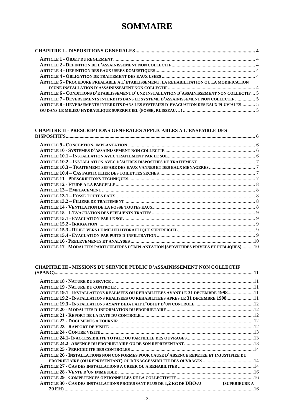# **SOMMAIRE**

| ARTICLE 5 - PROCEDURE PREALABLE A L'ETABLISSEMENT, LA REHABILITATION OU LA MODIFICATION    |  |
|--------------------------------------------------------------------------------------------|--|
|                                                                                            |  |
| ARTICLE 6 - CONDITIONS D'ETABLISSEMENT D'UNE INSTALLATION D'ASSAINISSEMENT NON COLLECTIF 5 |  |
| ARTICLE 7 - DEVERSEMENTS INTERDITS DANS LE SYSTEME D'ASSAINISSEMENT NON COLLECTIF  5       |  |
| ARTICLE 8 - DEVERSEMENTS INTERDITS DANS LES SYSTEMES D'EVACUATION DES EAUX PLUVIALES 5     |  |
|                                                                                            |  |
|                                                                                            |  |

#### **CHAPITRE II - [PRESCRIPTIONS GENERALES APPLICABLES A L'ENSEMBLE DES](#page-5-0)**

| ARTICLE 17 - MODALITES PARTICULIERES D'IMPLANTATION (SERVITUDES PRIVEES ET PUBLIQUES) 10 |  |
|------------------------------------------------------------------------------------------|--|

# **CHAPITRE III - [MISSIONS DU SERVICE PUBLIC D'ASSAINISSEMENT NON COLLECTIF](#page-10-0)**

| ARTICLE 19.1 - INSTALLATIONS REALISEES OU REHABILITEES AVANT LE 31 DECEMBRE 199811      |  |
|-----------------------------------------------------------------------------------------|--|
| ARTICLE 19.2 - INSTALLATIONS REALISEES OU REHABILITEES APRES LE 31 DECEMBRE 199811      |  |
|                                                                                         |  |
|                                                                                         |  |
|                                                                                         |  |
|                                                                                         |  |
|                                                                                         |  |
|                                                                                         |  |
|                                                                                         |  |
|                                                                                         |  |
|                                                                                         |  |
| ARTICLE 26 - INSTALLATIONS NON CONFORMES POUR CAUSE D'ABSENCE REPETEE ET INJUSTIFIEE DU |  |
| PROPRIETAIRE (OU REPRESENTANT) OU D'INACCESSIBILITE DES OUVRAGES 14                     |  |
|                                                                                         |  |
|                                                                                         |  |
|                                                                                         |  |
| ARTICLE 30 - CAS DES INSTALLATIONS PRODUISANT PLUS DE 1,2 KG DE DBO5/J (SUPERIEURE A    |  |
|                                                                                         |  |
|                                                                                         |  |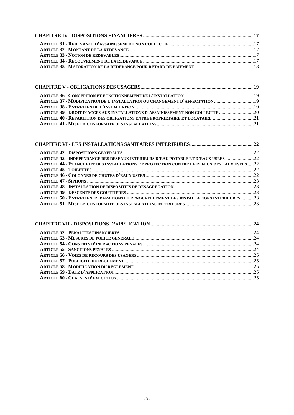| ARTICLE 39 - DROIT D'ACCES AUX INSTALLATIONS D'ASSAINISSEMENT NON COLLECTIF |  |
|-----------------------------------------------------------------------------|--|
| ARTICLE 40 - REPARTITION DES OBLIGATIONS ENTRE PROPRIETAIRE ET LOCATAIRE 21 |  |
|                                                                             |  |

| ARTICLE 43 - INDEPENDANCE DES RESEAUX INTERIEURS D'EAU POTABLE ET D'EAUX USEES22           |  |
|--------------------------------------------------------------------------------------------|--|
| ARTICLE 44 - ETANCHEITE DES INSTALLATIONS ET PROTECTION CONTRE LE REFLUX DES EAUX USEES 22 |  |
|                                                                                            |  |
|                                                                                            |  |
|                                                                                            |  |
|                                                                                            |  |
|                                                                                            |  |
| ARTICLE 50 - ENTRETIEN, REPARATIONS ET RENOUVELLEMENT DES INSTALLATIONS INTERIEURES 23     |  |
|                                                                                            |  |
|                                                                                            |  |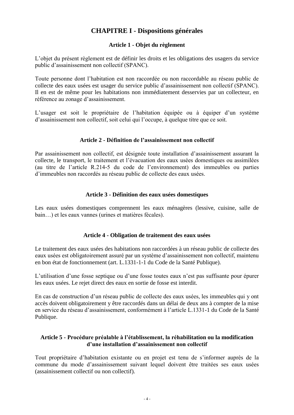# **CHAPITRE I - Dispositions générales**

#### **Article 1 - Objet du règlement**

<span id="page-3-1"></span><span id="page-3-0"></span>L'objet du présent règlement est de définir les droits et les obligations des usagers du service public d'assainissement non collectif (SPANC).

Toute personne dont l'habitation est non raccordée ou non raccordable au réseau public de collecte des eaux usées est usager du service public d'assainissement non collectif (SPANC). Il en est de même pour les habitations non immédiatement desservies par un collecteur, en référence au zonage d'assainissement.

L'usager est soit le propriétaire de l'habitation équipée ou à équiper d'un système d'assainissement non collectif, soit celui qui l'occupe, à quelque titre que ce soit.

#### **Article 2 - Définition de l'assainissement non collectif**

<span id="page-3-2"></span>Par assainissement non collectif, est désignée toute installation d'assainissement assurant la collecte, le transport, le traitement et l'évacuation des eaux usées domestiques ou assimilées (au titre de l'article R.214-5 du code de l'environnement) des immeubles ou parties d'immeubles non raccordés au réseau public de collecte des eaux usées.

#### **Article 3 - Définition des eaux usées domestiques**

<span id="page-3-3"></span>Les eaux usées domestiques comprennent les eaux ménagères (lessive, cuisine, salle de bain…) et les eaux vannes (urines et matières fécales).

#### **Article 4 - Obligation de traitement des eaux usées**

<span id="page-3-4"></span>Le traitement des eaux usées des habitations non raccordées à un réseau public de collecte des eaux usées est obligatoirement assuré par un système d'assainissement non collectif, maintenu en bon état de fonctionnement (art. L.1331-1-1 du Code de la Santé Publique).

L'utilisation d'une fosse septique ou d'une fosse toutes eaux n'est pas suffisante pour épurer les eaux usées. Le rejet direct des eaux en sortie de fosse est interdit.

En cas de construction d'un réseau public de collecte des eaux usées, les immeubles qui y ont accès doivent obligatoirement y être raccordés dans un délai de deux ans à compter de la mise en service du réseau d'assainissement, conformément à l'article L.1331-1 du Code de la Santé Publique.

#### <span id="page-3-5"></span>**Article 5 - Procédure préalable à l'établissement, la réhabilitation ou la modification d'une installation d'assainissement non collectif**

Tout propriétaire d'habitation existante ou en projet est tenu de s'informer auprès de la commune du mode d'assainissement suivant lequel doivent être traitées ses eaux usées (assainissement collectif ou non collectif).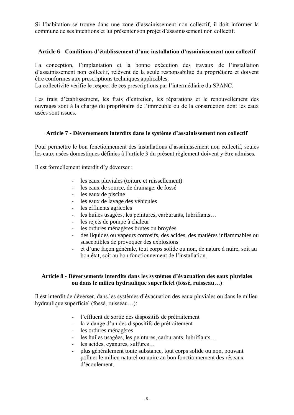Si l'habitation se trouve dans une zone d'assainissement non collectif, il doit informer la commune de ses intentions et lui présenter son projet d'assainissement non collectif.

#### <span id="page-4-0"></span>**Article 6 - Conditions d'établissement d'une installation d'assainissement non collectif**

La conception, l'implantation et la bonne exécution des travaux de l'installation d'assainissement non collectif, relèvent de la seule responsabilité du propriétaire et doivent être conformes aux prescriptions techniques applicables.

La collectivité vérifie le respect de ces prescriptions par l'intermédiaire du SPANC.

Les frais d'établissement, les frais d'entretien, les réparations et le renouvellement des ouvrages sont à la charge du propriétaire de l'immeuble ou de la construction dont les eaux usées sont issues.

#### <span id="page-4-1"></span>**Article 7 - Déversements interdits dans le système d'assainissement non collectif**

Pour permettre le bon fonctionnement des installations d'assainissement non collectif, seules les eaux usées domestiques définies à l'article 3 du présent règlement doivent y être admises.

Il est formellement interdit d'y déverser :

- les eaux pluviales (toiture et ruissellement)
- les eaux de source, de drainage, de fossé
- les eaux de piscine
- les eaux de lavage des véhicules
- les effluents agricoles
- les huiles usagées, les peintures, carburants, lubrifiants…
- les rejets de pompe à chaleur
- les ordures ménagères brutes ou broyées
- des liquides ou vapeurs corrosifs, des acides, des matières inflammables ou susceptibles de provoquer des explosions
- et d'une façon générale, tout corps solide ou non, de nature à nuire, soit au bon état, soit au bon fonctionnement de l'installation.

#### <span id="page-4-3"></span><span id="page-4-2"></span>**Article 8 - Déversements interdits dans les systèmes d'évacuation des eaux pluviales ou dans le milieu hydraulique superficiel (fossé, ruisseau…)**

Il est interdit de déverser, dans les systèmes d'évacuation des eaux pluviales ou dans le milieu hydraulique superficiel (fossé, ruisseau…):

- l'effluent de sortie des dispositifs de prétraitement
- la vidange d'un des dispositifs de prétraitement
- les ordures ménagères
- les huiles usagées, les peintures, carburants, lubrifiants…
- les acides, cyanures, sulfures...
- plus généralement toute substance, tout corps solide ou non, pouvant polluer le milieu naturel ou nuire au bon fonctionnement des réseaux d'écoulement.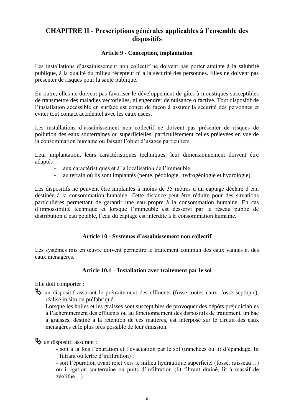# <span id="page-5-0"></span>**CHAPITRE II - Prescriptions générales applicables à l'ensemble des dispositifs**

#### **Article 9 - Conception, implantation**

<span id="page-5-1"></span>Les installations d'assainissement non collectif ne doivent pas porter atteinte à la salubrité publique, à la qualité du milieu récepteur ni à la sécurité des personnes. Elles ne doivent pas présenter de risques pour la santé publique.

En outre, elles ne doivent pas favoriser le développement de gîtes à moustiques susceptibles de transmettre des maladies vectorielles, ni engendrer de nuisance olfactive. Tout dispositif de l'installation accessible en surface est conçu de façon à assurer la sécurité des personnes et éviter tout contact accidentel avec les eaux usées.

Les installations d'assainissement non collectif ne doivent pas présenter de risques de pollution des eaux souterraines ou superficielles, particulièrement celles prélevées en vue de la consommation humaine ou faisant l'objet d'usages particuliers.

Leur implantation, leurs caractéristiques techniques, leur dimensionnement doivent être adaptés :

- aux caractéristiques et à la localisation de l'immeuble
- au terrain où ils sont implantés (pente, pédologie, hydrogéologie et hydrologie).

Les dispositifs ne peuvent être implantés à moins de 35 mètres d'un captage déclaré d'eau destinée à la consommation humaine. Cette distance peut être réduite pour des situations particulières permettant de garantir une eau propre à la consommation humaine. En cas d'impossibilité technique et lorsque l'immeuble est desservi par le réseau public de distribution d'eau potable, l'eau du captage est interdite à la consommation humaine.

#### **Article 10 - Systèmes d'assainissement non collectif**

<span id="page-5-2"></span>Les systèmes mis en œuvre doivent permettre le traitement commun des eaux vannes et des eaux ménagères.

#### **Article 10.1 – Installation avec traitement par le sol**

<span id="page-5-3"></span>Elle doit comporter :

 un dispositif assurant le prétraitement des effluents (fosse toutes eaux, fosse septique), réalisé in situ ou préfabriqué.

Lorsque les huiles et les graisses sont susceptibles de provoquer des dépôts préjudiciables à l'acheminement des effluents ou au fonctionnement des dispositifs de traitement, un bac à graisses, destiné à la rétention de ces matières, est interposé sur le circuit des eaux ménagères et le plus près possible de leur émission.

 $\mathfrak{B}$  un dispositif assurant :

- soit à la fois l'épuration et l'évacuation par le sol (tranchées ou lit d'épandage, lit filtrant ou tertre d'infiltration) ;

- soit l'épuration avant rejet vers le milieu hydraulique superficiel (fossé, ruisseau…) ou irrigation souterraine ou puits d'infiltration (lit filtrant drainé, lit à massif de zéolithe…).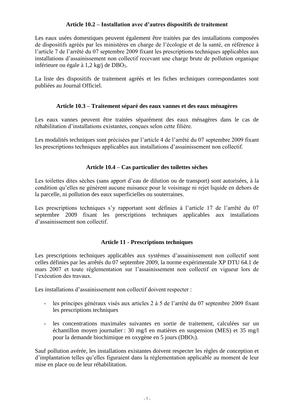#### **Article 10.2 – Installation avec d'autres dispositifs de traitement**

<span id="page-6-0"></span>Les eaux usées domestiques peuvent également être traitées par des installations composées de dispositifs agréés par les ministères en charge de l'écologie et de la santé, en référence à l'article 7 de l'arrêté du 07 septembre 2009 fixant les prescriptions techniques applicables aux installations d'assainissement non collectif recevant une charge brute de pollution organique inférieure ou égale à 1,2 kg/j de DBO<sub>5</sub>.

La liste des dispositifs de traitement agréés et les fiches techniques correspondantes sont publiées au Journal Officiel.

#### **Article 10.3 – Traitement séparé des eaux vannes et des eaux ménagères**

<span id="page-6-1"></span>Les eaux vannes peuvent être traitées séparément des eaux ménagères dans le cas de réhabilitation d'installations existantes, conçues selon cette filière.

Les modalités techniques sont précisées par l'article 4 de l'arrêté du 07 septembre 2009 fixant les prescriptions techniques applicables aux installations d'assainissement non collectif.

#### **Article 10.4 – Cas particulier des toilettes sèches**

<span id="page-6-2"></span>Les toilettes dites sèches (sans apport d'eau de dilution ou de transport) sont autorisées, à la condition qu'elles ne génèrent aucune nuisance pour le voisinage ni rejet liquide en dehors de la parcelle, ni pollution des eaux superficielles ou souterraines.

Les prescriptions techniques s'y rapportant sont définies à l'article 17 de l'arrêté du 07 septembre 2009 fixant les prescriptions techniques applicables aux installations d'assainissement non collectif.

#### **Article 11 - Prescriptions techniques**

<span id="page-6-3"></span>Les prescriptions techniques applicables aux systèmes d'assainissement non collectif sont celles définies par les arrêtés du 07 septembre 2009, la norme expérimentale XP DTU 64.1 de mars 2007 et toute réglementation sur l'assainissement non collectif en vigueur lors de l'exécution des travaux.

Les installations d'assainissement non collectif doivent respecter :

- les principes généraux visés aux articles 2 à 5 de l'arrêté du 07 septembre 2009 fixant les prescriptions techniques
- les concentrations maximales suivantes en sortie de traitement, calculées sur un échantillon moyen journalier : 30 mg/l en matières en suspension (MES) et 35 mg/l pour la demande biochimique en oxygène en 5 jours (DBO5).

Sauf pollution avérée, les installations existantes doivent respecter les règles de conception et d'implantation telles qu'elles figuraient dans la réglementation applicable au moment de leur mise en place ou de leur réhabilitation.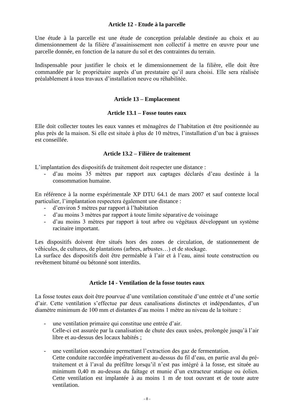#### **Article 12 - Etude à la parcelle**

<span id="page-7-0"></span>Une étude à la parcelle est une étude de conception préalable destinée au choix et au dimensionnement de la filière d'assainissement non collectif à mettre en œuvre pour une parcelle donnée, en fonction de la nature du sol et des contraintes du terrain.

Indispensable pour justifier le choix et le dimensionnement de la filière, elle doit être commandée par le propriétaire auprès d'un prestataire qu'il aura choisi. Elle sera réalisée préalablement à tous travaux d'installation neuve ou réhabilitée.

#### **Article 13 – Emplacement**

#### **Article 13.1 – Fosse toutes eaux**

<span id="page-7-2"></span><span id="page-7-1"></span>Elle doit collecter toutes les eaux vannes et ménagères de l'habitation et être positionnée au plus près de la maison. Si elle est située à plus de 10 mètres, l'installation d'un bac à graisses est conseillée.

#### **Article 13.2 – Filière de traitement**

<span id="page-7-3"></span>L'implantation des dispositifs de traitement doit respecter une distance :

- d'au moins 35 mètres par rapport aux captages déclarés d'eau destinée à la consommation humaine.

En référence à la norme expérimentale XP DTU 64.1 de mars 2007 et sauf contexte local particulier, l'implantation respectera également une distance :

- d'environ 5 mètres par rapport à l'habitation
- d'au moins 3 mètres par rapport à toute limite séparative de voisinage
- d'au moins 3 mètres par rapport à tout arbre ou végétaux développant un système racinaire important.

Les dispositifs doivent être situés hors des zones de circulation, de stationnement de véhicules, de cultures, de plantations (arbres, arbustes…) et de stockage.

La surface des dispositifs doit être perméable à l'air et à l'eau, ainsi toute construction ou revêtement bitumé ou bétonné sont interdits.

#### **Article 14 - Ventilation de la fosse toutes eaux**

<span id="page-7-4"></span>La fosse toutes eaux doit être pourvue d'une ventilation constituée d'une entrée et d'une sortie d'air. Cette ventilation s'effectue par deux canalisations distinctes et indépendantes, d'un diamètre minimum de 100 mm et distantes d'au moins 1 mètre au niveau de la toiture :

- une ventilation primaire qui constitue une entrée d'air. Celle-ci est assurée par la canalisation de chute des eaux usées, prolongée jusqu'à l'air libre et au-dessus des locaux habités ;
- une ventilation secondaire permettant l'extraction des gaz de fermentation. Cette conduite raccordée impérativement au-dessus du fil d'eau, en partie aval du prétraitement et à l'aval du préfiltre lorsqu'il n'est pas intégré à la fosse, est située au minimum 0,40 m au-dessus du faîtage et munie d'un extracteur statique ou éolien. Cette ventilation est implantée à au moins 1 m de tout ouvrant et de toute autre ventilation.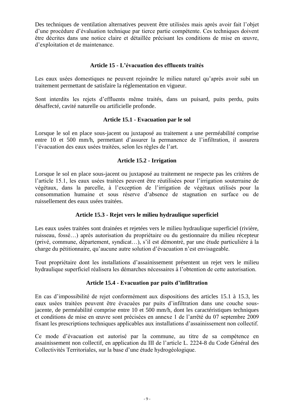Des techniques de ventilation alternatives peuvent être utilisées mais après avoir fait l'objet d'une procédure d'évaluation technique par tierce partie compétente. Ces techniques doivent être décrites dans une notice claire et détaillée précisant les conditions de mise en œuvre, d'exploitation et de maintenance.

#### **Article 15 - L'évacuation des effluents traités**

<span id="page-8-0"></span>Les eaux usées domestiques ne peuvent rejoindre le milieu naturel qu'après avoir subi un traitement permettant de satisfaire la réglementation en vigueur.

Sont interdits les rejets d'effluents même traités, dans un puisard, puits perdu, puits désaffecté, cavité naturelle ou artificielle profonde.

#### **Article 15.1 - Evacuation par le sol**

<span id="page-8-1"></span>Lorsque le sol en place sous-jacent ou juxtaposé au traitement a une perméabilité comprise entre 10 et 500 mm/h, permettant d'assurer la permanence de l'infiltration, il assurera l'évacuation des eaux usées traitées, selon les règles de l'art.

#### **Article 15.2 - Irrigation**

<span id="page-8-2"></span>Lorsque le sol en place sous-jacent ou juxtaposé au traitement ne respecte pas les critères de l'article 15.1, les eaux usées traitées peuvent être réutilisées pour l'irrigation souterraine de végétaux, dans la parcelle, à l'exception de l'irrigation de végétaux utilisés pour la consommation humaine et sous réserve d'absence de stagnation en surface ou de ruissellement des eaux usées traitées.

#### **Article 15.3 - Rejet vers le milieu hydraulique superficiel**

<span id="page-8-3"></span>Les eaux usées traitées sont drainées et rejetées vers le milieu hydraulique superficiel (rivière, ruisseau, fossé…) après autorisation du propriétaire ou du gestionnaire du milieu récepteur (privé, commune, département, syndicat…), s'il est démontré, par une étude particulière à la charge du pétitionnaire, qu'aucune autre solution d'évacuation n'est envisageable.

Tout propriétaire dont les installations d'assainissement présentent un rejet vers le milieu hydraulique superficiel réalisera les démarches nécessaires à l'obtention de cette autorisation.

#### **Article 15.4 - Evacuation par puits d'infiltration**

<span id="page-8-4"></span>En cas d'impossibilité de rejet conformément aux dispositions des articles 15.1 à 15.3, les eaux usées traitées peuvent être évacuées par puits d'infiltration dans une couche sousjacente, de perméabilité comprise entre 10 et 500 mm/h, dont les caractéristiques techniques et conditions de mise en œuvre sont précisées en annexe 1 de l'arrêté du 07 septembre 2009 fixant les prescriptions techniques applicables aux installations d'assainissement non collectif.

Ce mode d'évacuation est autorisé par la commune, au titre de sa compétence en assainissement non collectif, en application du III de l'article L. 2224-8 du Code Général des Collectivités Territoriales, sur la base d'une étude hydrogéologique.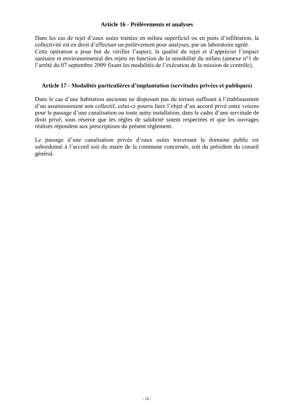#### **Article 16 - Prélèvements et analyses**

<span id="page-9-0"></span>Dans les cas de rejet d'eaux usées traitées en milieu superficiel ou en puits d'infiltration, la collectivité est en droit d'effectuer un prélèvement pour analyses, par un laboratoire agréé. Cette opération a pour but de vérifier l'aspect, la qualité du rejet et d'apprécier l'impact sanitaire et environnemental des rejets en fonction de la sensibilité du milieu (annexe n°1 de l'arrêté du 07 septembre 2009 fixant les modalités de l'exécution de la mission de contrôle).

#### <span id="page-9-1"></span>**Article 17 - Modalités particulières d'implantation (servitudes privées et publiques)**

Dans le cas d'une habitation ancienne ne disposant pas du terrain suffisant à l'établissement d'un assainissement non collectif, celui-ci pourra faire l'objet d'un accord privé entre voisins pour le passage d'une canalisation ou toute autre installation, dans le cadre d'une servitude de droit privé, sous réserve que les règles de salubrité soient respectées et que les ouvrages réalisés répondent aux prescriptions du présent règlement.

Le passage d'une canalisation privée d'eaux usées traversant le domaine public est subordonné à l'accord soit du maire de la commune concernée, soit du président du conseil général.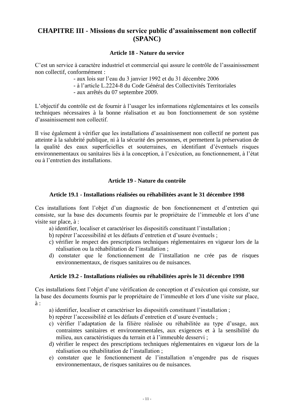### <span id="page-10-0"></span>**CHAPITRE III - Missions du service public d'assainissement non collectif (SPANC)**

#### **Article 18 - Nature du service**

<span id="page-10-1"></span>C'est un service à caractère industriel et commercial qui assure le contrôle de l'assainissement non collectif, conformément :

- aux lois sur l'eau du 3 janvier 1992 et du 31 décembre 2006
- à l'article L.2224-8 du Code Général des Collectivités Territoriales
- aux arrêtés du 07 septembre 2009.

L'objectif du contrôle est de fournir à l'usager les informations réglementaires et les conseils techniques nécessaires à la bonne réalisation et au bon fonctionnement de son système d'assainissement non collectif.

Il vise également à vérifier que les installations d'assainissement non collectif ne portent pas atteinte à la salubrité publique, ni à la sécurité des personnes, et permettent la préservation de la qualité des eaux superficielles et souterraines, en identifiant d'éventuels risques environnementaux ou sanitaires liés à la conception, à l'exécution, au fonctionnement, à l'état ou à l'entretien des installations.

#### **Article 19 - Nature du contrôle**

#### <span id="page-10-2"></span>**Article 19.1 - Installations réalisées ou réhabilitées avant le 31 décembre 1998**

<span id="page-10-3"></span>Ces installations font l'objet d'un diagnostic de bon fonctionnement et d'entretien qui consiste, sur la base des documents fournis par le propriétaire de l'immeuble et lors d'une visite sur place, à :

- a) identifier, localiser et caractériser les dispositifs constituant l'installation ;
- b) repérer l'accessibilité et les défauts d'entretien et d'usure éventuels ;
- c) vérifier le respect des prescriptions techniques réglementaires en vigueur lors de la réalisation ou la réhabilitation de l'installation ;
- d) constater que le fonctionnement de l'installation ne crée pas de risques environnementaux, de risques sanitaires ou de nuisances.

#### **Article 19.2 - Installations réalisées ou réhabilitées après le 31 décembre 1998**

<span id="page-10-4"></span>Ces installations font l'objet d'une vérification de conception et d'exécution qui consiste, sur la base des documents fournis par le propriétaire de l'immeuble et lors d'une visite sur place, à :

a) identifier, localiser et caractériser les dispositifs constituant l'installation ;

- b) repérer l'accessibilité et les défauts d'entretien et d'usure éventuels ;
- c) vérifier l'adaptation de la filière réalisée ou réhabilitée au type d'usage, aux contraintes sanitaires et environnementales, aux exigences et à la sensibilité du milieu, aux caractéristiques du terrain et à l'immeuble desservi ;
- d) vérifier le respect des prescriptions techniques réglementaires en vigueur lors de la réalisation ou réhabilitation de l'installation ;
- e) constater que le fonctionnement de l'installation n'engendre pas de risques environnementaux, de risques sanitaires ou de nuisances.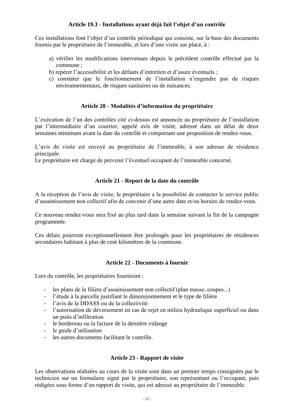#### **Article 19.3 - Installations ayant déjà fait l'objet d'un contrôle**

<span id="page-11-0"></span>Ces installations font l'objet d'un contrôle périodique qui consiste, sur la base des documents fournis par le propriétaire de l'immeuble, et lors d'une visite sur place, à :

- a) vérifier les modifications intervenues depuis le précédent contrôle effectué par la commune ;
- b) repérer l'accessibilité et les défauts d'entretien et d'usure éventuels ;
- c) constater que le fonctionnement de l'installation n'engendre pas de risques environnementaux, de risques sanitaires ou de nuisances.

#### **Article 20 - Modalités d'information du propriétaire**

<span id="page-11-1"></span>L'exécution de l'un des contrôles cité ci-dessus est annoncée au propriétaire de l'installation par l'intermédiaire d'un courrier, appelé avis de visite, adressé dans un délai de deux semaines minimum avant la date du contrôle et comportant une proposition de rendez-vous.

L'avis de visite est envoyé au propriétaire de l'immeuble, à son adresse de résidence principale.

Le propriétaire est chargé de prévenir l'éventuel occupant de l'immeuble concerné.

#### **Article 21 - Report de la date du contrôle**

<span id="page-11-2"></span>A la réception de l'avis de visite, le propriétaire a la possibilité de contacter le service public d'assainissement non collectif afin de convenir d'une autre date et/ou horaire de rendez-vous.

Ce nouveau rendez-vous sera fixé au plus tard dans la semaine suivant la fin de la campagne programmée.

Ces délais pourront exceptionnellement être prolongés pour les propriétaires de résidences secondaires habitant à plus de cent kilomètres de la commune.

#### **Article 22 - Documents à fournir**

<span id="page-11-3"></span>Lors du contrôle, les propriétaires fourniront :

- les plans de la filière d'assainissement non collectif (plan masse, coupes...)
- l'étude à la parcelle justifiant le dimensionnement et le type de filière
- l'avis de la DDASS ou de la collectivité
- l'autorisation de déversement en cas de rejet en milieu hydraulique superficiel ou dans un puits d'infiltration
- le bordereau ou la facture de la dernière vidange
- le guide d'utilisation
- les autres documents facilitant le contrôle.

#### **Article 23 - Rapport de visite**

<span id="page-11-4"></span>Les observations réalisées au cours de la visite sont dans un premier temps consignées par le technicien sur un formulaire signé par le propriétaire, son représentant ou l'occupant, puis rédigées sous forme d'un rapport de visite, qui est adressé au propriétaire de l'immeuble.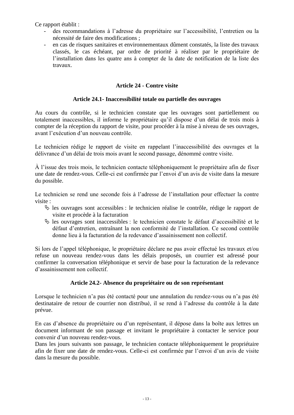Ce rapport établit :

- des recommandations à l'adresse du propriétaire sur l'accessibilité, l'entretien ou la nécessité de faire des modifications ;
- en cas de risques sanitaires et environnementaux dûment constatés, la liste des travaux classés, le cas échéant, par ordre de priorité à réaliser par le propriétaire de l'installation dans les quatre ans à compter de la date de notification de la liste des travaux.

#### **Article 24 - Contre visite**

#### **Article 24.1- Inaccessibilité totale ou partielle des ouvrages**

<span id="page-12-1"></span><span id="page-12-0"></span>Au cours du contrôle, si le technicien constate que les ouvrages sont partiellement ou totalement inaccessibles, il informe le propriétaire qu'il dispose d'un délai de trois mois à compter de la réception du rapport de visite, pour procéder à la mise à niveau de ses ouvrages, avant l'exécution d'un nouveau contrôle.

Le technicien rédige le rapport de visite en rappelant l'inaccessibilité des ouvrages et la délivrance d'un délai de trois mois avant le second passage, dénommé contre visite.

À l'issue des trois mois, le technicien contacte téléphoniquement le propriétaire afin de fixer une date de rendez-vous. Celle-ci est confirmée par l'envoi d'un avis de visite dans la mesure du possible.

Le technicien se rend une seconde fois à l'adresse de l'installation pour effectuer la contre visite :

- $\&$  les ouvrages sont accessibles : le technicien réalise le contrôle, rédige le rapport de visite et procède à la facturation
- $\%$  les ouvrages sont inaccessibles : le technicien constate le défaut d'accessibilité et le défaut d'entretien, entraînant la non conformité de l'installation. Ce second contrôle donne lieu à la facturation de la redevance d'assainissement non collectif.

Si lors de l'appel téléphonique, le propriétaire déclare ne pas avoir effectué les travaux et/ou refuse un nouveau rendez-vous dans les délais proposés, un courrier est adressé pour confirmer la conversation téléphonique et servir de base pour la facturation de la redevance d'assainissement non collectif.

#### **Article 24.2- Absence du propriétaire ou de son représentant**

<span id="page-12-2"></span>Lorsque le technicien n'a pas été contacté pour une annulation du rendez-vous ou n'a pas été destinataire de retour de courrier non distribué, il se rend à l'adresse du contrôle à la date prévue.

En cas d'absence du propriétaire ou d'un représentant, il dépose dans la boîte aux lettres un document informant de son passage et invitant le propriétaire à contacter le service pour convenir d'un nouveau rendez-vous.

Dans les jours suivants son passage, le technicien contacte téléphoniquement le propriétaire afin de fixer une date de rendez-vous. Celle-ci est confirmée par l'envoi d'un avis de visite dans la mesure du possible.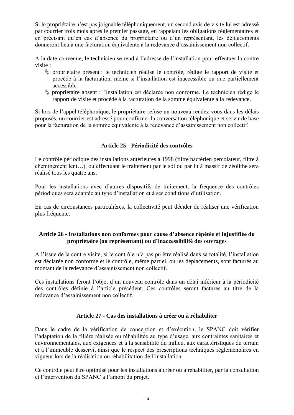Si le propriétaire n'est pas joignable téléphoniquement, un second avis de visite lui est adressé par courrier trois mois après le premier passage, en rappelant les obligations réglementaires et en précisant qu'en cas d'absence du propriétaire ou d'un représentant, les déplacements donneront lieu à une facturation équivalente à la redevance d'assainissement non collectif.

A la date convenue, le technicien se rend à l'adresse de l'installation pour effectuer la contre visite :

- $\%$  propriétaire présent : le technicien réalise le contrôle, rédige le rapport de visite et procède à la facturation, même si l'installation est inaccessible ou que partiellement accessible
- $\%$  propriétaire absent : l'installation est déclarée non conforme. Le technicien rédige le rapport de visite et procède à la facturation de la somme équivalente à la redevance.

Si lors de l'appel téléphonique, le propriétaire refuse un nouveau rendez-vous dans les délais proposés, un courrier est adressé pour confirmer la conversation téléphonique et servir de base pour la facturation de la somme équivalente à la redevance d'assainissement non collectif.

#### **Article 25 - Périodicité des contrôles**

<span id="page-13-0"></span>Le contrôle périodique des installations antérieures à 1998 (filtre bactérien percolateur, filtre à cheminement lent…), ou effectuant le traitement par le sol ou par lit à massif de zéolithe sera réalisé tous les quatre ans.

Pour les installations avec d'autres dispositifs de traitement, la fréquence des contrôles périodiques sera adaptée au type d'installation et à ses conditions d'utilisation.

En cas de circonstances particulières, la collectivité peut décider de réaliser une vérification plus fréquente.

#### <span id="page-13-1"></span>**Article 26 - Installations non conformes pour cause d'absence répétée et injustifiée du propriétaire (ou représentant) ou d'inaccessibilité des ouvrages**

A l'issue de la contre visite, si le contrôle n'a pas pu être réalisé dans sa totalité, l'installation est déclarée non conforme et le contrôle, même partiel, ou les déplacements, sont facturés au montant de la redevance d'assainissement non collectif.

Ces installations feront l'objet d'un nouveau contrôle dans un délai inférieur à la périodicité des contrôles définie à l'article précédent. Ces contrôles seront facturés au titre de la redevance d'assainissement non collectif.

#### **Article 27 - Cas des installations à créer ou à réhabiliter**

<span id="page-13-2"></span>Dans le cadre de la vérification de conception et d'exécution, le SPANC doit vérifier l'adaptation de la filière réalisée ou réhabilitée au type d'usage, aux contraintes sanitaires et environnementales, aux exigences et à la sensibilité du milieu, aux caractéristiques du terrain et à l'immeuble desservi, ainsi que le respect des prescriptions techniques réglementaires en vigueur lors de la réalisation ou réhabilitation de l'installation.

Ce contrôle peut être optimisé pour les installations à créer ou à réhabiliter, par la consultation et l'intervention du SPANC à l'amont du projet.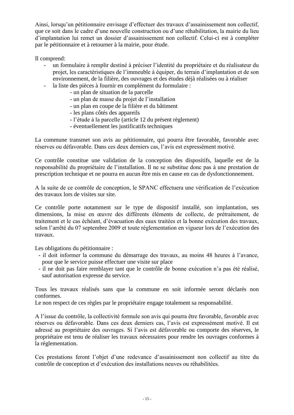Ainsi, lorsqu'un pétitionnaire envisage d'effectuer des travaux d'assainissement non collectif, que ce soit dans le cadre d'une nouvelle construction ou d'une réhabilitation, la mairie du lieu d'implantation lui remet un dossier d'assainissement non collectif. Celui-ci est à compléter par le pétitionnaire et à retourner à la mairie, pour étude.

Il comprend:

- un formulaire à remplir destiné à préciser l'identité du propriétaire et du réalisateur du projet, les caractéristiques de l'immeuble à équiper, du terrain d'implantation et de son environnement, de la filière, des ouvrages et des études déjà réalisées ou à réaliser
- la liste des pièces à fournir en complément du formulaire :
	- un plan de situation de la parcelle
	- un plan de masse du projet de l'installation
	- un plan en coupe de la filière et du bâtiment
	- les plans côtés des appareils
	- l'étude à la parcelle (article 12 du présent règlement)
	- éventuellement les justificatifs techniques

La commune transmet son avis au pétitionnaire, qui pourra être favorable, favorable avec réserves ou défavorable. Dans ces deux derniers cas, l'avis est expressément motivé.

Ce contrôle constitue une validation de la conception des dispositifs, laquelle est de la responsabilité du propriétaire de l'installation. Il ne se substitue donc pas à une prestation de prescription technique et ne pourra en aucun être mis en cause en cas de dysfonctionnement.

A la suite de ce contrôle de conception, le SPANC effectuera une vérification de l'exécution des travaux lors de visites sur site.

Ce contrôle porte notamment sur le type de dispositif installé, son implantation, ses dimensions, la mise en œuvre des différents éléments de collecte, de prétraitement, de traitement et le cas échéant, d'évacuation des eaux traitées et la bonne exécution des travaux, selon l'arrêté du 07 septembre 2009 et toute réglementation en vigueur lors de l'exécution des travaux.

Les obligations du pétitionnaire :

- il doit informer la commune du démarrage des travaux, au moins 48 heures à l'avance, pour que le service puisse effectuer une visite sur place
- il ne doit pas faire remblayer tant que le contrôle de bonne exécution n'a pas été réalisé, sauf autorisation expresse du service.

Tous les travaux réalisés sans que la commune en soit informée seront déclarés non conformes.

Le non respect de ces règles par le propriétaire engage totalement sa responsabilité.

A l'issue du contrôle, la collectivité formule son avis qui pourra être favorable, favorable avec réserves ou défavorable. Dans ces deux derniers cas, l'avis est expressément motivé. Il est adressé au propriétaire des ouvrages. Si l'avis est défavorable ou comporte des réserves, le propriétaire est tenu de réaliser les travaux nécessaires pour rendre les ouvrages conformes à la réglementation.

Ces prestations feront l'objet d'une redevance d'assainissement non collectif au titre du contrôle de conception et d'exécution des installations neuves ou réhabilitées.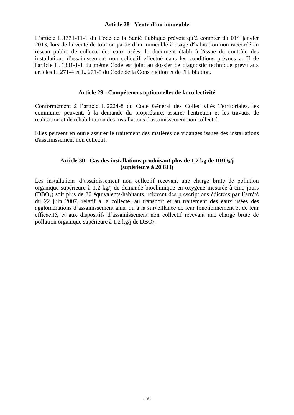#### **Article 28 - Vente d'un immeuble**

<span id="page-15-0"></span>L'article L.1331-11-1 du Code de la Santé Publique prévoit qu'à compter du 01<sup>er</sup> janvier 2013, lors de la vente de tout ou partie d'un immeuble à usage d'habitation non raccordé au réseau public de collecte des eaux usées, le document établi à l'issue du contrôle des installations d'assainissement non collectif effectué dans les conditions prévues au II de l'article L. 1331-1-1 du même Code est joint au dossier de diagnostic technique prévu aux articles L. 271-4 et L. 271-5 du Code de la Construction et de l'Habitation.

#### **Article 29 - Compétences optionnelles de la collectivité**

<span id="page-15-1"></span>Conformément à l'article L.2224-8 du Code Général des Collectivités Territoriales, les communes peuvent, à la demande du propriétaire, assurer l'entretien et les travaux de réalisation et de réhabilitation des installations d'assainissement non collectif.

Elles peuvent en outre assurer le traitement des matières de vidanges issues des installations d'assainissement non collectif.

#### **Article 30 - Cas des installations produisant plus de 1,2 kg de DBO5/j (supérieure à 20 EH)**

<span id="page-15-2"></span>Les installations d'assainissement non collectif recevant une charge brute de pollution organique supérieure à 1,2 kg/j de demande biochimique en oxygène mesurée à cinq jours (DBO5) soit plus de 20 équivalents-habitants, relèvent des prescriptions édictées par l'arrêté du 22 juin 2007, relatif à la collecte, au transport et au traitement des eaux usées des agglomérations d'assainissement ainsi qu'à la surveillance de leur fonctionnement et de leur efficacité, et aux dispositifs d'assainissement non collectif recevant une charge brute de pollution organique supérieure à 1,2 kg/j de DBO5.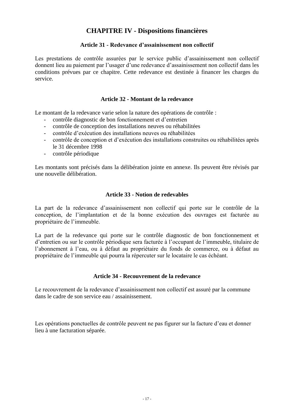# **CHAPITRE IV - Dispositions financières**

#### **Article 31 - Redevance d'assainissement non collectif**

<span id="page-16-1"></span><span id="page-16-0"></span>Les prestations de contrôle assurées par le service public d'assainissement non collectif donnent lieu au paiement par l'usager d'une redevance d'assainissement non collectif dans les conditions prévues par ce chapitre. Cette redevance est destinée à financer les charges du service.

#### **Article 32 - Montant de la redevance**

<span id="page-16-2"></span>Le montant de la redevance varie selon la nature des opérations de contrôle :

- contrôle diagnostic de bon fonctionnement et d'entretien
- contrôle de conception des installations neuves ou réhabilitées
- contrôle d'exécution des installations neuves ou réhabilitées
- contrôle de conception et d'exécution des installations construites ou réhabilitées après le 31 décembre 1998
- contrôle périodique

Les montants sont précisés dans la délibération jointe en annexe. Ils peuvent être révisés par une nouvelle délibération.

#### **Article 33 - Notion de redevables**

<span id="page-16-3"></span>La part de la redevance d'assainissement non collectif qui porte sur le contrôle de la conception, de l'implantation et de la bonne exécution des ouvrages est facturée au propriétaire de l'immeuble.

La part de la redevance qui porte sur le contrôle diagnostic de bon fonctionnement et d'entretien ou sur le contrôle périodique sera facturée à l'occupant de l'immeuble, titulaire de l'abonnement à l'eau, ou à défaut au propriétaire du fonds de commerce, ou à défaut au propriétaire de l'immeuble qui pourra la répercuter sur le locataire le cas échéant.

#### **Article 34 - Recouvrement de la redevance**

<span id="page-16-4"></span>Le recouvrement de la redevance d'assainissement non collectif est assuré par la commune dans le cadre de son service eau / assainissement.

Les opérations ponctuelles de contrôle peuvent ne pas figurer sur la facture d'eau et donner lieu à une facturation séparée.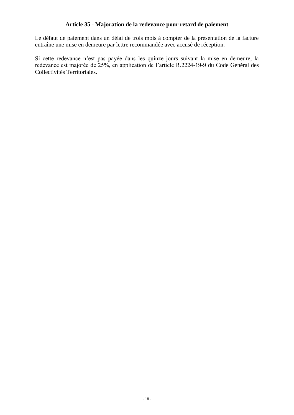#### **Article 35 - Majoration de la redevance pour retard de paiement**

<span id="page-17-0"></span>Le défaut de paiement dans un délai de trois mois à compter de la présentation de la facture entraîne une mise en demeure par lettre recommandée avec accusé de réception.

Si cette redevance n'est pas payée dans les quinze jours suivant la mise en demeure, la redevance est majorée de 25%, en application de l'article R.2224-19-9 du Code Général des Collectivités Territoriales.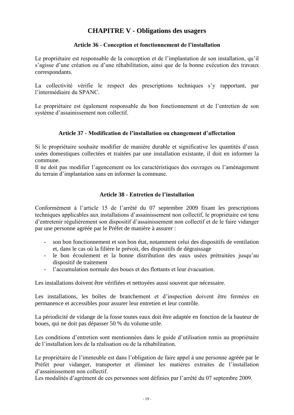## **CHAPITRE V - Obligations des usagers**

#### **Article 36 - Conception et fonctionnement de l'installation**

<span id="page-18-1"></span><span id="page-18-0"></span>Le propriétaire est responsable de la conception et de l'implantation de son installation, qu'il s'agisse d'une création ou d'une réhabilitation, ainsi que de la bonne exécution des travaux correspondants.

La collectivité vérifie le respect des prescriptions techniques s'y rapportant, par l'intermédiaire du SPANC.

Le propriétaire est également responsable du bon fonctionnement et de l'entretien de son système d'assainissement non collectif.

#### **Article 37 - Modification de l'installation ou changement d'affectation**

<span id="page-18-2"></span>Si le propriétaire souhaite modifier de manière durable et significative les quantités d'eaux usées domestiques collectées et traitées par une installation existante, il doit en informer la commune.

Il ne doit pas modifier l'agencement ou les caractéristiques des ouvrages ou l'aménagement du terrain d'implantation sans en informer la commune.

#### **Article 38 - Entretien de l'installation**

<span id="page-18-3"></span>Conformément à l'article 15 de l'arrêté du 07 septembre 2009 fixant les prescriptions techniques applicables aux installations d'assainissement non collectif, le propriétaire est tenu d'entretenir régulièrement son dispositif d'assainissement non collectif et de le faire vidanger par une personne agréée par le Préfet de manière à assurer :

- son bon fonctionnement et son bon état, notamment celui des dispositifs de ventilation et, dans le cas où la filière le prévoit, des dispositifs de dégraissage
- le bon écoulement et la bonne distribution des eaux usées prétraitées jusqu'au dispositif de traitement
- l'accumulation normale des boues et des flottants et leur évacuation.

Les installations doivent être vérifiées et nettoyées aussi souvent que nécessaire.

Les installations, les boîtes de branchement et d'inspection doivent être fermées en permanence et accessibles pour assurer leur entretien et leur contrôle.

La périodicité de vidange de la fosse toutes eaux doit être adaptée en fonction de la hauteur de boues, qui ne doit pas dépasser 50 % du volume utile.

Les conditions d'entretien sont mentionnées dans le guide d'utilisation remis au propriétaire de l'installation lors de la réalisation ou de la réhabilitation.

Le propriétaire de l'immeuble est dans l'obligation de faire appel à une personne agréée par le Préfet pour vidanger, transporter et éliminer les matières extraites de l'installation d'assainissement non collectif.

Les modalités d'agrément de ces personnes sont définies par l'arrêté du 07 septembre 2009.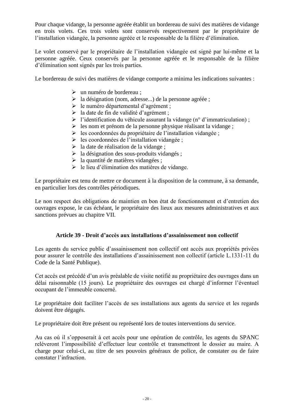Pour chaque vidange, la personne agréée établit un bordereau de suivi des matières de vidange en trois volets. Ces trois volets sont conservés respectivement par le propriétaire de l'installation vidangée, la personne agréée et le responsable de la filière d'élimination.

Le volet conservé par le propriétaire de l'installation vidangée est signé par lui-même et la personne agréée. Ceux conservés par la personne agréée et le responsable de la filière d'élimination sont signés par les trois parties.

Le bordereau de suivi des matières de vidange comporte a minima les indications suivantes :

- un numéro de bordereau ;
- $\geq$  la désignation (nom, adresse...) de la personne agréée ;
- le numéro départemental d'agrément ;
- la date de fin de validité d'agrément ;
- $\triangleright$  l'identification du véhicule assurant la vidange (n° d'immatriculation) ;
- $\triangleright$  les nom et prénom de la personne physique réalisant la vidange ;
- $\triangleright$  les coordonnées du propriétaire de l'installation vidangée ;
- $\geq$  les coordonnées de l'installation vidangée ;
- $\triangleright$  la date de réalisation de la vidange ;
- $\geq$  la désignation des sous-produits vidangés ;
- $\geq$  la quantité de matières vidangées ;
- $\triangleright$  le lieu d'élimination des matières de vidange.

Le propriétaire est tenu de mettre ce document à la disposition de la commune, à sa demande, en particulier lors des contrôles périodiques.

Le non respect des obligations de maintien en bon état de fonctionnement et d'entretien des ouvrages expose, le cas échéant, le propriétaire des lieux aux mesures administratives et aux sanctions prévues au chapitre VII.

#### **Article 39 - Droit d'accès aux installations d'assainissement non collectif**

<span id="page-19-0"></span>Les agents du service public d'assainissement non collectif ont accès aux propriétés privées pour assurer le contrôle des installations d'assainissement non collectif (article L.1331-11 du Code de la Santé Publique).

Cet accès est précédé d'un avis préalable de visite notifié au propriétaire des ouvrages dans un délai raisonnable (15 jours). Le propriétaire des ouvrages est chargé d'informer l'éventuel occupant de l'immeuble concerné.

Le propriétaire doit faciliter l'accès de ses installations aux agents du service et les regards doivent être dégagés.

Le propriétaire doit être présent ou représenté lors de toutes interventions du service.

Au cas où il s'opposerait à cet accès pour une opération de contrôle, les agents du SPANC relèveront l'impossibilité d'effectuer leur contrôle et transmettront le dossier au maire. A charge pour celui-ci, au titre de ses pouvoirs généraux de police, de constater ou de faire constater l'infraction.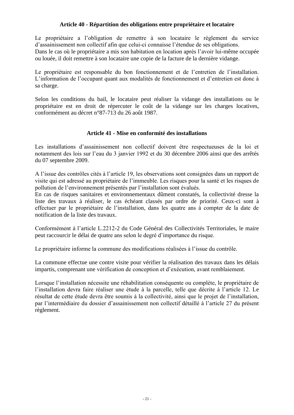#### **Article 40 - Répartition des obligations entre propriétaire et locataire**

<span id="page-20-0"></span>Le propriétaire a l'obligation de remettre à son locataire le règlement du service d'assainissement non collectif afin que celui-ci connaisse l'étendue de ses obligations.

Dans le cas où le propriétaire a mis son habitation en location après l'avoir lui-même occupée ou louée, il doit remettre à son locataire une copie de la facture de la dernière vidange.

Le propriétaire est responsable du bon fonctionnement et de l'entretien de l'installation. L'information de l'occupant quant aux modalités de fonctionnement et d'entretien est donc à sa charge.

Selon les conditions du bail, le locataire peut réaliser la vidange des installations ou le propriétaire est en droit de répercuter le coût de la vidange sur les charges locatives, conformément au décret n°87-713 du 26 août 1987.

#### **Article 41 - Mise en conformité des installations**

<span id="page-20-1"></span>Les installations d'assainissement non collectif doivent être respectueuses de la loi et notamment des lois sur l'eau du 3 janvier 1992 et du 30 décembre 2006 ainsi que des arrêtés du 07 septembre 2009.

A l'issue des contrôles cités à l'article 19, les observations sont consignées dans un rapport de visite qui est adressé au propriétaire de l'immeuble. Les risques pour la santé et les risques de pollution de l'environnement présentés par l'installation sont évalués.

En cas de risques sanitaires et environnementaux dûment constatés, la collectivité dresse la liste des travaux à réaliser, le cas échéant classés par ordre de priorité. Ceux-ci sont à effectuer par le propriétaire de l'installation, dans les quatre ans à compter de la date de notification de la liste des travaux.

Conformément à l'article L.2212-2 du Code Général des Collectivités Territoriales, le maire peut raccourcir le délai de quatre ans selon le degré d'importance du risque.

Le propriétaire informe la commune des modifications réalisées à l'issue du contrôle.

La commune effectue une contre visite pour vérifier la réalisation des travaux dans les délais impartis, comprenant une vérification de conception et d'exécution, avant remblaiement.

Lorsque l'installation nécessite une réhabilitation conséquente ou complète, le propriétaire de l'installation devra faire réaliser une étude à la parcelle, telle que décrite à l'article 12. Le résultat de cette étude devra être soumis à la collectivité, ainsi que le projet de l'installation, par l'intermédiaire du dossier d'assainissement non collectif détaillé à l'article 27 du présent règlement.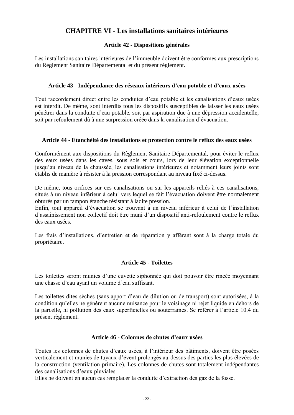# **CHAPITRE VI - Les installations sanitaires intérieures**

#### **Article 42 - Dispositions générales**

<span id="page-21-1"></span><span id="page-21-0"></span>Les installations sanitaires intérieures de l'immeuble doivent être conformes aux prescriptions du Règlement Sanitaire Départemental et du présent règlement.

#### **Article 43 - Indépendance des réseaux intérieurs d'eau potable et d'eaux usées**

<span id="page-21-2"></span>Tout raccordement direct entre les conduites d'eau potable et les canalisations d'eaux usées est interdit. De même, sont interdits tous les dispositifs susceptibles de laisser les eaux usées pénétrer dans la conduite d'eau potable, soit par aspiration due à une dépression accidentelle, soit par refoulement dû à une surpression créée dans la canalisation d'évacuation.

#### <span id="page-21-3"></span>**Article 44 - Etanchéité des installations et protection contre le reflux des eaux usées**

Conformément aux dispositions du Règlement Sanitaire Départemental, pour éviter le reflux des eaux usées dans les caves, sous sols et cours, lors de leur élévation exceptionnelle jusqu'au niveau de la chaussée, les canalisations intérieures et notamment leurs joints sont établis de manière à résister à la pression correspondant au niveau fixé ci-dessus.

De même, tous orifices sur ces canalisations ou sur les appareils reliés à ces canalisations, situés à un niveau inférieur à celui vers lequel se fait l'évacuation doivent être normalement obturés par un tampon étanche résistant à ladite pression.

Enfin, tout appareil d'évacuation se trouvant à un niveau inférieur à celui de l'installation d'assainissement non collectif doit être muni d'un dispositif anti-refoulement contre le reflux des eaux usées.

Les frais d'installations, d'entretien et de réparation y afférant sont à la charge totale du propriétaire.

#### **Article 45 - Toilettes**

<span id="page-21-4"></span>Les toilettes seront munies d'une cuvette siphonnée qui doit pouvoir être rincée moyennant une chasse d'eau ayant un volume d'eau suffisant.

Les toilettes dites sèches (sans apport d'eau de dilution ou de transport) sont autorisées, à la condition qu'elles ne génèrent aucune nuisance pour le voisinage ni rejet liquide en dehors de la parcelle, ni pollution des eaux superficielles ou souterraines. Se référer à l'article 10.4 du présent règlement.

#### **Article 46 - Colonnes de chutes d'eaux usées**

<span id="page-21-5"></span>Toutes les colonnes de chutes d'eaux usées, à l'intérieur des bâtiments, doivent être posées verticalement et munies de tuyaux d'évent prolongés au-dessus des parties les plus élevées de la construction (ventilation primaire). Les colonnes de chutes sont totalement indépendantes des canalisations d'eaux pluviales.

Elles ne doivent en aucun cas remplacer la conduite d'extraction des gaz de la fosse.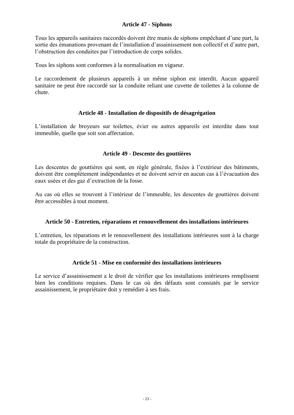#### **Article 47 - Siphons**

<span id="page-22-0"></span>Tous les appareils sanitaires raccordés doivent être munis de siphons empêchant d'une part, la sortie des émanations provenant de l'installation d'assainissement non collectif et d'autre part, l'obstruction des conduites par l'introduction de corps solides.

Tous les siphons sont conformes à la normalisation en vigueur.

Le raccordement de plusieurs appareils à un même siphon est interdit. Aucun appareil sanitaire ne peut être raccordé sur la conduite reliant une cuvette de toilettes à la colonne de chute.

#### **Article 48 - Installation de dispositifs de désagrégation**

<span id="page-22-1"></span>L'installation de broyeurs sur toilettes, évier ou autres appareils est interdite dans tout immeuble, quelle que soit son affectation.

#### **Article 49 - Descente des gouttières**

<span id="page-22-2"></span>Les descentes de gouttières qui sont, en règle générale, fixées à l'extérieur des bâtiments, doivent être complètement indépendantes et ne doivent servir en aucun cas à l'évacuation des eaux usées et des gaz d'extraction de la fosse.

Au cas où elles se trouvent à l'intérieur de l'immeuble, les descentes de gouttières doivent être accessibles à tout moment.

#### <span id="page-22-3"></span>**Article 50 - Entretien, réparations et renouvellement des installations intérieures**

L'entretien, les réparations et le renouvellement des installations intérieures sont à la charge totale du propriétaire de la construction.

#### **Article 51 - Mise en conformité des installations intérieures**

<span id="page-22-4"></span>Le service d'assainissement a le droit de vérifier que les installations intérieures remplissent bien les conditions requises. Dans le cas où des défauts sont constatés par le service assainissement, le propriétaire doit y remédier à ses frais.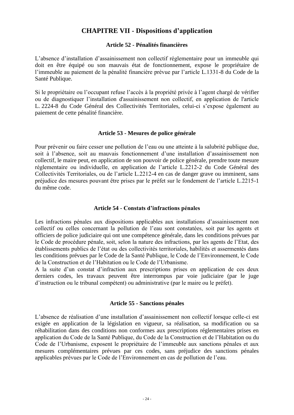### **CHAPITRE VII - Dispositions d'application**

#### **Article 52 - Pénalités financières**

<span id="page-23-1"></span><span id="page-23-0"></span>L'absence d'installation d'assainissement non collectif réglementaire pour un immeuble qui doit en être équipé ou son mauvais état de fonctionnement, expose le propriétaire de l'immeuble au paiement de la pénalité financière prévue par l'article L.1331-8 du Code de la Santé Publique.

Si le propriétaire ou l'occupant refuse l'accès à la propriété privée à l'agent chargé de vérifier ou de diagnostiquer l'installation d'assainissement non collectif, en application de l'article L. 2224-8 du Code Général des Collectivités Territoriales, celui-ci s'expose également au paiement de cette pénalité financière.

#### **Article 53 - Mesures de police générale**

<span id="page-23-2"></span>Pour prévenir ou faire cesser une pollution de l'eau ou une atteinte à la salubrité publique due, soit à l'absence, soit au mauvais fonctionnement d'une installation d'assainissement non collectif, le maire peut, en application de son pouvoir de police générale, prendre toute mesure réglementaire ou individuelle, en application de l'article L.2212-2 du Code Général des Collectivités Territoriales, ou de l'article L.2212-4 en cas de danger grave ou imminent, sans préjudice des mesures pouvant être prises par le préfet sur le fondement de l'article L.2215-1 du même code.

#### **Article 54 - Constats d'infractions pénales**

<span id="page-23-3"></span>Les infractions pénales aux dispositions applicables aux installations d'assainissement non collectif ou celles concernant la pollution de l'eau sont constatées, soit par les agents et officiers de police judiciaire qui ont une compétence générale, dans les conditions prévues par le Code de procédure pénale, soit, selon la nature des infractions, par les agents de l'Etat, des établissements publics de l'état ou des collectivités territoriales, habilités et assermentés dans les conditions prévues par le Code de la Santé Publique, le Code de l'Environnement, le Code de la Construction et de l'Habitation ou le Code de l'Urbanisme.

A la suite d'un constat d'infraction aux prescriptions prises en application de ces deux derniers codes, les travaux peuvent être interrompus par voie judiciaire (par le juge d'instruction ou le tribunal compétent) ou administrative (par le maire ou le préfet).

#### **Article 55 - Sanctions pénales**

<span id="page-23-4"></span>L'absence de réalisation d'une installation d'assainissement non collectif lorsque celle-ci est exigée en application de la législation en vigueur, sa réalisation, sa modification ou sa réhabilitation dans des conditions non conformes aux prescriptions réglementaires prises en application du Code de la Santé Publique, du Code de la Construction et de l'Habitation ou du Code de l'Urbanisme, exposent le propriétaire de l'immeuble aux sanctions pénales et aux mesures complémentaires prévues par ces codes, sans préjudice des sanctions pénales applicables prévues par le Code de l'Environnement en cas de pollution de l'eau.